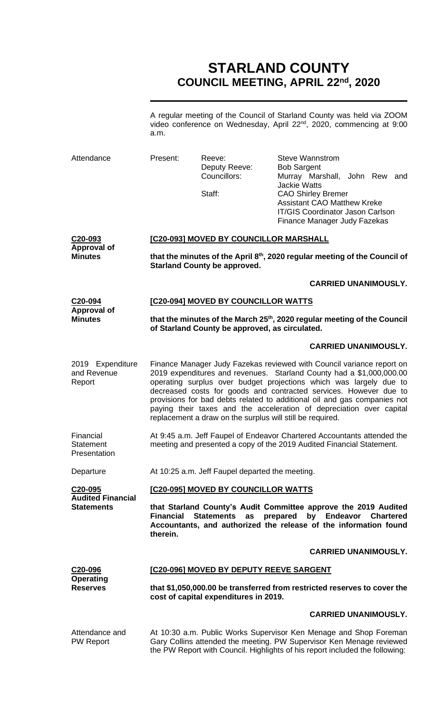# **STARLAND COUNTY COUNCIL MEETING, APRIL 22nd, 2020**

A regular meeting of the Council of Starland County was held via ZOOM video conference on Wednesday, April 22<sup>nd</sup>, 2020, commencing at 9:00 a.m.

| Attendance                                                  | Present:                                                                                                                                                                                                                  | Reeve:<br>Deputy Reeve:<br>Councillors:<br>Staff:                                                                                                                                                                                                                                                                                                                                                                                                                                                         | Steve Wannstrom<br><b>Bob Sargent</b><br>Murray Marshall, John Rew and<br><b>Jackie Watts</b><br><b>CAO Shirley Bremer</b><br><b>Assistant CAO Matthew Kreke</b><br><b>IT/GIS Coordinator Jason Carlson</b><br>Finance Manager Judy Fazekas |  |  |
|-------------------------------------------------------------|---------------------------------------------------------------------------------------------------------------------------------------------------------------------------------------------------------------------------|-----------------------------------------------------------------------------------------------------------------------------------------------------------------------------------------------------------------------------------------------------------------------------------------------------------------------------------------------------------------------------------------------------------------------------------------------------------------------------------------------------------|---------------------------------------------------------------------------------------------------------------------------------------------------------------------------------------------------------------------------------------------|--|--|
| C <sub>20</sub> -093<br>Approval of<br><b>Minutes</b>       | [C20-093] MOVED BY COUNCILLOR MARSHALL                                                                                                                                                                                    |                                                                                                                                                                                                                                                                                                                                                                                                                                                                                                           |                                                                                                                                                                                                                                             |  |  |
|                                                             | that the minutes of the April 8th, 2020 regular meeting of the Council of<br><b>Starland County be approved.</b>                                                                                                          |                                                                                                                                                                                                                                                                                                                                                                                                                                                                                                           |                                                                                                                                                                                                                                             |  |  |
|                                                             |                                                                                                                                                                                                                           |                                                                                                                                                                                                                                                                                                                                                                                                                                                                                                           | <b>CARRIED UNANIMOUSLY.</b>                                                                                                                                                                                                                 |  |  |
| C20-094<br><b>Approval of</b>                               | [C20-094] MOVED BY COUNCILLOR WATTS                                                                                                                                                                                       |                                                                                                                                                                                                                                                                                                                                                                                                                                                                                                           |                                                                                                                                                                                                                                             |  |  |
| <b>Minutes</b>                                              | that the minutes of the March 25 <sup>th</sup> , 2020 regular meeting of the Council<br>of Starland County be approved, as circulated.                                                                                    |                                                                                                                                                                                                                                                                                                                                                                                                                                                                                                           |                                                                                                                                                                                                                                             |  |  |
|                                                             |                                                                                                                                                                                                                           |                                                                                                                                                                                                                                                                                                                                                                                                                                                                                                           | <b>CARRIED UNANIMOUSLY.</b>                                                                                                                                                                                                                 |  |  |
| 2019 Expenditure<br>and Revenue<br>Report                   |                                                                                                                                                                                                                           | Finance Manager Judy Fazekas reviewed with Council variance report on<br>2019 expenditures and revenues. Starland County had a \$1,000,000.00<br>operating surplus over budget projections which was largely due to<br>decreased costs for goods and contracted services. However due to<br>provisions for bad debts related to additional oil and gas companies not<br>paying their taxes and the acceleration of depreciation over capital<br>replacement a draw on the surplus will still be required. |                                                                                                                                                                                                                                             |  |  |
| Financial<br><b>Statement</b><br>Presentation               |                                                                                                                                                                                                                           | At 9:45 a.m. Jeff Faupel of Endeavor Chartered Accountants attended the<br>meeting and presented a copy of the 2019 Audited Financial Statement.                                                                                                                                                                                                                                                                                                                                                          |                                                                                                                                                                                                                                             |  |  |
| Departure                                                   | At 10:25 a.m. Jeff Faupel departed the meeting.                                                                                                                                                                           |                                                                                                                                                                                                                                                                                                                                                                                                                                                                                                           |                                                                                                                                                                                                                                             |  |  |
| C20-095<br><b>Audited Financial</b>                         | [C20-095] MOVED BY COUNCILLOR WATTS                                                                                                                                                                                       |                                                                                                                                                                                                                                                                                                                                                                                                                                                                                                           |                                                                                                                                                                                                                                             |  |  |
| <b>Statements</b>                                           | <b>Financial</b><br>therein.                                                                                                                                                                                              | <b>Statements</b><br>as                                                                                                                                                                                                                                                                                                                                                                                                                                                                                   | that Starland County's Audit Committee approve the 2019 Audited<br>prepared<br>by Endeavor<br><b>Chartered</b><br>Accountants, and authorized the release of the information found                                                          |  |  |
|                                                             |                                                                                                                                                                                                                           |                                                                                                                                                                                                                                                                                                                                                                                                                                                                                                           | <b>CARRIED UNANIMOUSLY.</b>                                                                                                                                                                                                                 |  |  |
| C <sub>20</sub> -096<br><b>Operating</b><br><b>Reserves</b> | <u>[C20-096] MOVED BY DEPUTY REEVE SARGENT</u>                                                                                                                                                                            |                                                                                                                                                                                                                                                                                                                                                                                                                                                                                                           |                                                                                                                                                                                                                                             |  |  |
|                                                             | that \$1,050,000.00 be transferred from restricted reserves to cover the<br>cost of capital expenditures in 2019.                                                                                                         |                                                                                                                                                                                                                                                                                                                                                                                                                                                                                                           |                                                                                                                                                                                                                                             |  |  |
|                                                             |                                                                                                                                                                                                                           |                                                                                                                                                                                                                                                                                                                                                                                                                                                                                                           | <b>CARRIED UNANIMOUSLY.</b>                                                                                                                                                                                                                 |  |  |
| Attendance and<br><b>PW Report</b>                          | At 10:30 a.m. Public Works Supervisor Ken Menage and Shop Foreman<br>Gary Collins attended the meeting. PW Supervisor Ken Menage reviewed<br>the PW Report with Council. Highlights of his report included the following: |                                                                                                                                                                                                                                                                                                                                                                                                                                                                                                           |                                                                                                                                                                                                                                             |  |  |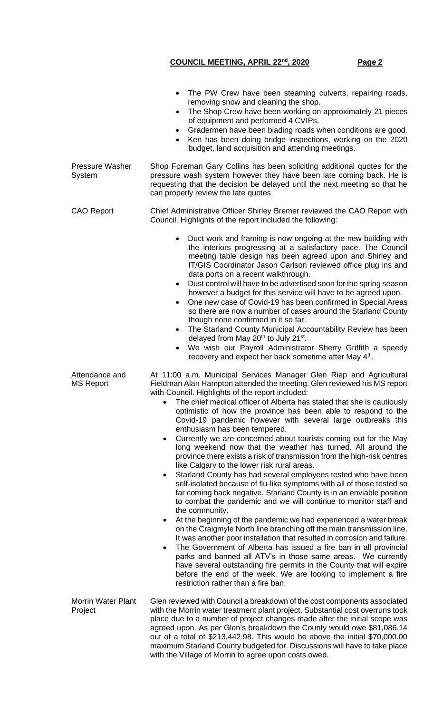|                                      | The PW Crew have been steaming culverts, repairing roads,<br>removing snow and cleaning the shop.<br>The Shop Crew have been working on approximately 21 pieces<br>$\bullet$<br>of equipment and performed 4 CVIPs.<br>Gradermen have been blading roads when conditions are good.<br>$\bullet$<br>Ken has been doing bridge inspections, working on the 2020<br>$\bullet$<br>budget, land acquisition and attending meetings.                                                                                                                                                                                                                                                                                                                                                                                                                                                                                                                                                                                                                                                                                                                                                                                                                                                                                                                                                                                                                                                                                                                                                        |  |  |  |
|--------------------------------------|---------------------------------------------------------------------------------------------------------------------------------------------------------------------------------------------------------------------------------------------------------------------------------------------------------------------------------------------------------------------------------------------------------------------------------------------------------------------------------------------------------------------------------------------------------------------------------------------------------------------------------------------------------------------------------------------------------------------------------------------------------------------------------------------------------------------------------------------------------------------------------------------------------------------------------------------------------------------------------------------------------------------------------------------------------------------------------------------------------------------------------------------------------------------------------------------------------------------------------------------------------------------------------------------------------------------------------------------------------------------------------------------------------------------------------------------------------------------------------------------------------------------------------------------------------------------------------------|--|--|--|
| <b>Pressure Washer</b><br>System     | Shop Foreman Gary Collins has been soliciting additional quotes for the<br>pressure wash system however they have been late coming back. He is<br>requesting that the decision be delayed until the next meeting so that he<br>can properly review the late quotes.                                                                                                                                                                                                                                                                                                                                                                                                                                                                                                                                                                                                                                                                                                                                                                                                                                                                                                                                                                                                                                                                                                                                                                                                                                                                                                                   |  |  |  |
| <b>CAO Report</b>                    | Chief Administrative Officer Shirley Bremer reviewed the CAO Report with<br>Council. Highlights of the report included the following:                                                                                                                                                                                                                                                                                                                                                                                                                                                                                                                                                                                                                                                                                                                                                                                                                                                                                                                                                                                                                                                                                                                                                                                                                                                                                                                                                                                                                                                 |  |  |  |
|                                      | Duct work and framing is now ongoing at the new building with<br>$\bullet$<br>the interiors progressing at a satisfactory pace. The Council<br>meeting table design has been agreed upon and Shirley and<br>IT/GIS Coordinator Jason Carlson reviewed office plug ins and<br>data ports on a recent walkthrough.<br>Dust control will have to be advertised soon for the spring season<br>$\bullet$<br>however a budget for this service will have to be agreed upon.<br>One new case of Covid-19 has been confirmed in Special Areas<br>$\bullet$<br>so there are now a number of cases around the Starland County<br>though none confirmed in it so far.<br>The Starland County Municipal Accountability Review has been<br>$\bullet$<br>delayed from May 20 <sup>th</sup> to July 21 <sup>st</sup> .<br>We wish our Payroll Administrator Sherry Griffith a speedy<br>recovery and expect her back sometime after May 4 <sup>th</sup> .                                                                                                                                                                                                                                                                                                                                                                                                                                                                                                                                                                                                                                            |  |  |  |
| Attendance and<br><b>MS Report</b>   | At 11:00 a.m. Municipal Services Manager Glen Riep and Agricultural<br>Fieldman Alan Hampton attended the meeting. Glen reviewed his MS report<br>with Council. Highlights of the report included:<br>• The chief medical officer of Alberta has stated that she is cautiously<br>optimistic of how the province has been able to respond to the<br>Covid-19 pandemic however with several large outbreaks this<br>enthusiasm has been tempered.<br>Currently we are concerned about tourists coming out for the May<br>long weekend now that the weather has turned. All around the<br>province there exists a risk of transmission from the high-risk centres<br>like Calgary to the lower risk rural areas.<br>Starland County has had several employees tested who have been<br>$\bullet$<br>self-isolated because of flu-like symptoms with all of those tested so<br>far coming back negative. Starland County is in an enviable position<br>to combat the pandemic and we will continue to monitor staff and<br>the community.<br>At the beginning of the pandemic we had experienced a water break<br>on the Craigmyle North line branching off the main transmission line.<br>It was another poor installation that resulted in corrosion and failure.<br>The Government of Alberta has issued a fire ban in all provincial<br>parks and banned all ATV's in those same areas. We currently<br>have several outstanding fire permits in the County that will expire<br>before the end of the week. We are looking to implement a fire<br>restriction rather than a fire ban. |  |  |  |
| <b>Morrin Water Plant</b><br>Project | Glen reviewed with Council a breakdown of the cost components associated<br>with the Morrin water treatment plant project. Substantial cost overruns took<br>place due to a number of project changes made after the initial scope was<br>agreed upon. As per Glen's breakdown the County would owe \$81,086.14<br>out of a total of \$213,442.98. This would be above the initial \$70,000.00<br>maximum Starland County budgeted for. Discussions will have to take place<br>with the Village of Morrin to agree upon costs owed.                                                                                                                                                                                                                                                                                                                                                                                                                                                                                                                                                                                                                                                                                                                                                                                                                                                                                                                                                                                                                                                   |  |  |  |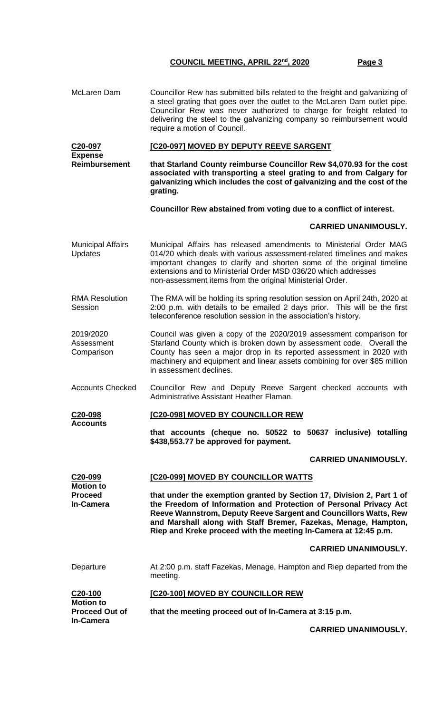McLaren Dam Councillor Rew has submitted bills related to the freight and galvanizing of a steel grating that goes over the outlet to the McLaren Dam outlet pipe. Councillor Rew was never authorized to charge for freight related to delivering the steel to the galvanizing company so reimbursement would require a motion of Council. **C20-097 Expense Reimbursement [C20-097] MOVED BY DEPUTY REEVE SARGENT that Starland County reimburse Councillor Rew \$4,070.93 for the cost associated with transporting a steel grating to and from Calgary for galvanizing which includes the cost of galvanizing and the cost of the grating. Councillor Rew abstained from voting due to a conflict of interest. CARRIED UNANIMOUSLY.** Municipal Affairs **Updates** Municipal Affairs has released amendments to Ministerial Order MAG 014/20 which deals with various assessment-related timelines and makes important changes to clarify and shorten some of the original timeline extensions and to Ministerial Order MSD 036/20 which addresses non-assessment items from the original Ministerial Order. RMA Resolution **Session** The RMA will be holding its spring resolution session on April 24th, 2020 at 2:00 p.m. with details to be emailed 2 days prior. This will be the first teleconference resolution session in the association's history. 2019/2020 Assessment **Comparison** Council was given a copy of the 2020/2019 assessment comparison for Starland County which is broken down by assessment code. Overall the County has seen a major drop in its reported assessment in 2020 with machinery and equipment and linear assets combining for over \$85 million in assessment declines. Accounts Checked Councillor Rew and Deputy Reeve Sargent checked accounts with Administrative Assistant Heather Flaman. **C20-098 Accounts [C20-098] MOVED BY COUNCILLOR REW that accounts (cheque no. 50522 to 50637 inclusive) totalling \$438,553.77 be approved for payment. CARRIED UNANIMOUSLY. C20-099 Motion to Proceed In-Camera [C20-099] MOVED BY COUNCILLOR WATTS that under the exemption granted by Section 17, Division 2, Part 1 of the Freedom of Information and Protection of Personal Privacy Act Reeve Wannstrom, Deputy Reeve Sargent and Councillors Watts, Rew and Marshall along with Staff Bremer, Fazekas, Menage, Hampton, Riep and Kreke proceed with the meeting In-Camera at 12:45 p.m. CARRIED UNANIMOUSLY.** Departure **At 2:00 p.m. staff Fazekas, Menage, Hampton and Riep departed from the** meeting. **C20-100 Motion to Proceed Out of In-Camera [C20-100] MOVED BY COUNCILLOR REW that the meeting proceed out of In-Camera at 3:15 p.m.**

**CARRIED UNANIMOUSLY.**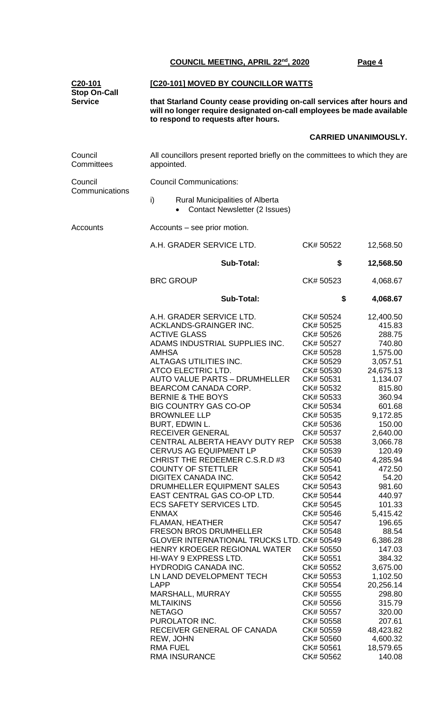| C20-101      |
|--------------|
| Stop On-Call |
| Service      |

#### **[C20-101] MOVED BY COUNCILLOR WATTS**

**that Starland County cease providing on-call services after hours and will no longer require designated on-call employees be made available to respond to requests after hours.** 

## **CARRIED UNANIMOUSLY.**

| Council<br>Committees     | All councillors present reported briefly on the committees to which they are<br>appointed. |           |           |  |  |
|---------------------------|--------------------------------------------------------------------------------------------|-----------|-----------|--|--|
| Council<br>Communications | <b>Council Communications:</b>                                                             |           |           |  |  |
|                           | i)<br><b>Rural Municipalities of Alberta</b><br><b>Contact Newsletter (2 Issues)</b>       |           |           |  |  |
| Accounts                  | Accounts – see prior motion.                                                               |           |           |  |  |
|                           | A.H. GRADER SERVICE LTD.                                                                   | CK# 50522 | 12,568.50 |  |  |
|                           | <b>Sub-Total:</b>                                                                          | \$        | 12,568.50 |  |  |
|                           | <b>BRC GROUP</b>                                                                           | CK# 50523 | 4,068.67  |  |  |
|                           | <b>Sub-Total:</b>                                                                          |           | 4,068.67  |  |  |
|                           | A.H. GRADER SERVICE LTD.                                                                   | CK# 50524 | 12,400.50 |  |  |
|                           | ACKLANDS-GRAINGER INC.                                                                     | CK# 50525 | 415.83    |  |  |
|                           | <b>ACTIVE GLASS</b>                                                                        | CK# 50526 | 288.75    |  |  |
|                           | ADAMS INDUSTRIAL SUPPLIES INC.                                                             | CK# 50527 | 740.80    |  |  |
|                           | <b>AMHSA</b>                                                                               | CK# 50528 | 1,575.00  |  |  |
|                           | ALTAGAS UTILITIES INC.                                                                     | CK# 50529 | 3,057.51  |  |  |
|                           | ATCO ELECTRIC LTD.                                                                         | CK# 50530 | 24,675.13 |  |  |
|                           | <b>AUTO VALUE PARTS - DRUMHELLER</b>                                                       | CK# 50531 | 1,134.07  |  |  |
|                           | BEARCOM CANADA CORP.                                                                       | CK# 50532 | 815.80    |  |  |
|                           | <b>BERNIE &amp; THE BOYS</b>                                                               | CK# 50533 | 360.94    |  |  |
|                           | <b>BIG COUNTRY GAS CO-OP</b>                                                               | CK# 50534 | 601.68    |  |  |
|                           | <b>BROWNLEE LLP</b>                                                                        | CK# 50535 | 9,172.85  |  |  |
|                           | BURT, EDWIN L.                                                                             | CK# 50536 | 150.00    |  |  |
|                           | <b>RECEIVER GENERAL</b>                                                                    | CK# 50537 | 2,640.00  |  |  |
|                           | CENTRAL ALBERTA HEAVY DUTY REP                                                             | CK# 50538 | 3,066.78  |  |  |
|                           | <b>CERVUS AG EQUIPMENT LP</b>                                                              | CK# 50539 | 120.49    |  |  |
|                           | CHRIST THE REDEEMER C.S.R.D #3                                                             | CK# 50540 | 4,285.94  |  |  |
|                           | <b>COUNTY OF STETTLER</b>                                                                  | CK# 50541 | 472.50    |  |  |
|                           | DIGITEX CANADA INC.                                                                        | CK# 50542 | 54.20     |  |  |
|                           | DRUMHELLER EQUIPMENT SALES                                                                 | CK# 50543 | 981.60    |  |  |
|                           | EAST CENTRAL GAS CO-OP LTD.                                                                | CK# 50544 | 440.97    |  |  |
|                           | <b>ECS SAFETY SERVICES LTD.</b>                                                            | CK# 50545 | 101.33    |  |  |
|                           | <b>ENMAX</b>                                                                               | CK# 50546 | 5,415.42  |  |  |
|                           | <b>FLAMAN, HEATHER</b>                                                                     | CK# 50547 | 196.65    |  |  |
|                           | <b>FRESON BROS DRUMHELLER</b>                                                              | CK# 50548 | 88.54     |  |  |
|                           | GLOVER INTERNATIONAL TRUCKS LTD. CK# 50549                                                 |           | 6,386.28  |  |  |
|                           | HENRY KROEGER REGIONAL WATER                                                               | CK# 50550 | 147.03    |  |  |
|                           | HI-WAY 9 EXPRESS LTD.                                                                      | CK# 50551 | 384.32    |  |  |
|                           | <b>HYDRODIG CANADA INC.</b>                                                                | CK# 50552 | 3,675.00  |  |  |
|                           | LN LAND DEVELOPMENT TECH                                                                   | CK# 50553 | 1,102.50  |  |  |
|                           | <b>LAPP</b>                                                                                | CK# 50554 | 20,256.14 |  |  |
|                           | MARSHALL, MURRAY                                                                           | CK# 50555 | 298.80    |  |  |
|                           | <b>MLTAIKINS</b>                                                                           | CK# 50556 | 315.79    |  |  |
|                           | <b>NETAGO</b>                                                                              | CK# 50557 | 320.00    |  |  |
|                           | PUROLATOR INC.                                                                             | CK# 50558 | 207.61    |  |  |
|                           | RECEIVER GENERAL OF CANADA                                                                 | CK# 50559 | 48,423.82 |  |  |
|                           | REW, JOHN                                                                                  | CK# 50560 | 4,600.32  |  |  |
|                           | <b>RMA FUEL</b>                                                                            | CK# 50561 | 18,579.65 |  |  |
|                           | RMA INSURANCE                                                                              | CK# 50562 | 140.08    |  |  |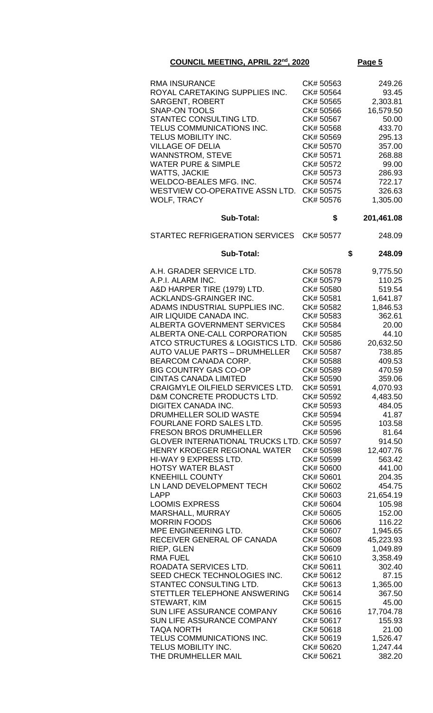| <b>RMA INSURANCE</b>                                             | CK# 50563              | 249.26             |
|------------------------------------------------------------------|------------------------|--------------------|
| ROYAL CARETAKING SUPPLIES INC.                                   | CK# 50564              | 93.45              |
| <b>SARGENT, ROBERT</b>                                           | CK# 50565              | 2,303.81           |
| <b>SNAP-ON TOOLS</b>                                             | CK# 50566              | 16,579.50          |
| STANTEC CONSULTING LTD.                                          | CK# 50567              | 50.00              |
| TELUS COMMUNICATIONS INC.                                        | CK# 50568              | 433.70             |
| TELUS MOBILITY INC.                                              | CK# 50569              | 295.13             |
| <b>VILLAGE OF DELIA</b>                                          | CK# 50570              | 357.00             |
| <b>WANNSTROM, STEVE</b>                                          | CK# 50571              | 268.88             |
| <b>WATER PURE &amp; SIMPLE</b><br><b>WATTS, JACKIE</b>           | CK# 50572<br>CK# 50573 | 99.00<br>286.93    |
| WELDCO-BEALES MFG. INC.                                          | CK# 50574              | 722.17             |
| WESTVIEW CO-OPERATIVE ASSN LTD.                                  | CK# 50575              | 326.63             |
| <b>WOLF, TRACY</b>                                               | CK# 50576              | 1,305.00           |
| <b>Sub-Total:</b>                                                | \$                     | 201,461.08         |
| STARTEC REFRIGERATION SERVICES CK# 50577                         |                        | 248.09             |
| <b>Sub-Total:</b>                                                |                        | \$<br>248.09       |
|                                                                  |                        |                    |
| A.H. GRADER SERVICE LTD.                                         | CK# 50578              | 9,775.50           |
| A.P.I. ALARM INC.                                                | CK# 50579<br>CK# 50580 | 110.25             |
| A&D HARPER TIRE (1979) LTD.<br><b>ACKLANDS-GRAINGER INC.</b>     | CK# 50581              | 519.54<br>1,641.87 |
| ADAMS INDUSTRIAL SUPPLIES INC.                                   | CK# 50582              | 1,846.53           |
| AIR LIQUIDE CANADA INC.                                          | CK# 50583              | 362.61             |
| <b>ALBERTA GOVERNMENT SERVICES</b>                               | CK# 50584              | 20.00              |
| ALBERTA ONE-CALL CORPORATION                                     | CK# 50585              | 44.10              |
| ATCO STRUCTURES & LOGISTICS LTD.                                 | CK# 50586              | 20,632.50          |
| <b>AUTO VALUE PARTS - DRUMHELLER</b>                             | CK# 50587              | 738.85             |
| BEARCOM CANADA CORP.                                             | CK# 50588              | 409.53             |
| <b>BIG COUNTRY GAS CO-OP</b>                                     | CK# 50589              | 470.59             |
| <b>CINTAS CANADA LIMITED</b><br>CRAIGMYLE OILFIELD SERVICES LTD. | CK# 50590<br>CK# 50591 | 359.06<br>4.070.93 |
| D&M CONCRETE PRODUCTS LTD.                                       | CK# 50592              | 4,483.50           |
| <b>DIGITEX CANADA INC.</b>                                       | CK# 50593              | 484.05             |
| DRUMHELLER SOLID WASTE                                           | CK# 50594              | 41.87              |
| FOURLANE FORD SALES LTD.                                         | CK# 50595              | 103.58             |
| <b>FRESON BROS DRUMHELLER</b>                                    | CK# 50596              | 81.64              |
| GLOVER INTERNATIONAL TRUCKS LTD. CK# 50597                       |                        | 914.50             |
| HENRY KROEGER REGIONAL WATER                                     | CK# 50598              | 12,407.76          |
| HI-WAY 9 EXPRESS LTD.                                            | CK# 50599              | 563.42             |
| <b>HOTSY WATER BLAST</b><br><b>KNEEHILL COUNTY</b>               | CK# 50600<br>CK# 50601 | 441.00<br>204.35   |
| LN LAND DEVELOPMENT TECH                                         | CK# 50602              | 454.75             |
| <b>LAPP</b>                                                      | CK# 50603              | 21,654.19          |
| <b>LOOMIS EXPRESS</b>                                            | CK# 50604              | 105.98             |
| MARSHALL, MURRAY                                                 | CK# 50605              | 152.00             |
| <b>MORRIN FOODS</b>                                              | CK# 50606              | 116.22             |
| MPE ENGINEERING LTD.                                             | CK# 50607              | 1,945.65           |
| RECEIVER GENERAL OF CANADA                                       | CK# 50608              | 45,223.93          |
| RIEP, GLEN                                                       | CK# 50609              | 1,049.89           |
| <b>RMA FUEL</b><br>ROADATA SERVICES LTD.                         | CK# 50610<br>CK# 50611 | 3,358.49           |
| SEED CHECK TECHNOLOGIES INC.                                     | CK# 50612              | 302.40<br>87.15    |
| STANTEC CONSULTING LTD.                                          | CK# 50613              | 1,365.00           |
| STETTLER TELEPHONE ANSWERING                                     | CK# 50614              | 367.50             |
| STEWART, KIM                                                     | CK# 50615              | 45.00              |
| SUN LIFE ASSURANCE COMPANY                                       | CK# 50616              | 17,704.78          |
| SUN LIFE ASSURANCE COMPANY                                       | CK# 50617              | 155.93             |
| <b>TAQA NORTH</b>                                                | CK# 50618              | 21.00              |
| TELUS COMMUNICATIONS INC.                                        | CK# 50619              | 1,526.47           |
| TELUS MOBILITY INC.                                              | CK# 50620              | 1,247.44           |
| THE DRUMHELLER MAIL                                              | CK# 50621              | 382.20             |